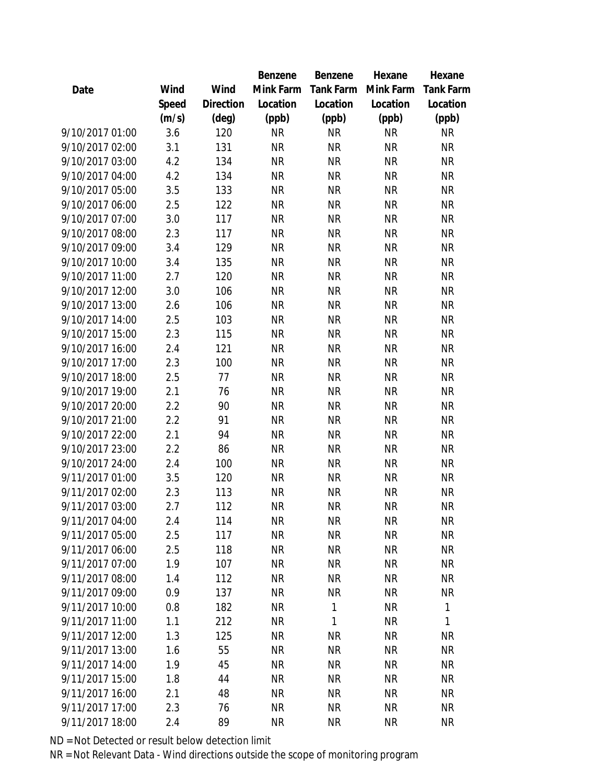|                 |       |                | Benzene   | Benzene          | Hexane    | Hexane           |
|-----------------|-------|----------------|-----------|------------------|-----------|------------------|
| Date            | Wind  | Wind           | Mink Farm | <b>Tank Farm</b> | Mink Farm | <b>Tank Farm</b> |
|                 | Speed | Direction      | Location  | Location         | Location  | Location         |
|                 | (m/s) | $(\text{deg})$ | (ppb)     | (ppb)            | (ppb)     | (ppb)            |
| 9/10/2017 01:00 | 3.6   | 120            | <b>NR</b> | <b>NR</b>        | <b>NR</b> | <b>NR</b>        |
| 9/10/2017 02:00 | 3.1   | 131            | <b>NR</b> | <b>NR</b>        | <b>NR</b> | <b>NR</b>        |
| 9/10/2017 03:00 | 4.2   | 134            | <b>NR</b> | <b>NR</b>        | <b>NR</b> | <b>NR</b>        |
| 9/10/2017 04:00 | 4.2   | 134            | <b>NR</b> | <b>NR</b>        | <b>NR</b> | <b>NR</b>        |
| 9/10/2017 05:00 | 3.5   | 133            | <b>NR</b> | <b>NR</b>        | <b>NR</b> | <b>NR</b>        |
| 9/10/2017 06:00 | 2.5   | 122            | <b>NR</b> | <b>NR</b>        | <b>NR</b> | <b>NR</b>        |
| 9/10/2017 07:00 | 3.0   | 117            | <b>NR</b> | <b>NR</b>        | <b>NR</b> | <b>NR</b>        |
| 9/10/2017 08:00 | 2.3   | 117            | <b>NR</b> | <b>NR</b>        | <b>NR</b> | <b>NR</b>        |
| 9/10/2017 09:00 | 3.4   | 129            | <b>NR</b> | <b>NR</b>        | <b>NR</b> | <b>NR</b>        |
| 9/10/2017 10:00 | 3.4   | 135            | <b>NR</b> | <b>NR</b>        | <b>NR</b> | <b>NR</b>        |
| 9/10/2017 11:00 | 2.7   | 120            | <b>NR</b> | <b>NR</b>        | <b>NR</b> | <b>NR</b>        |
| 9/10/2017 12:00 | 3.0   | 106            | <b>NR</b> | <b>NR</b>        | <b>NR</b> | <b>NR</b>        |
| 9/10/2017 13:00 | 2.6   | 106            | <b>NR</b> | <b>NR</b>        | <b>NR</b> | <b>NR</b>        |
| 9/10/2017 14:00 | 2.5   | 103            | <b>NR</b> | <b>NR</b>        | <b>NR</b> | <b>NR</b>        |
| 9/10/2017 15:00 | 2.3   | 115            | <b>NR</b> | <b>NR</b>        | <b>NR</b> | <b>NR</b>        |
| 9/10/2017 16:00 | 2.4   | 121            | <b>NR</b> | <b>NR</b>        | <b>NR</b> | <b>NR</b>        |
| 9/10/2017 17:00 | 2.3   | 100            | <b>NR</b> | <b>NR</b>        | <b>NR</b> | <b>NR</b>        |
| 9/10/2017 18:00 | 2.5   | 77             | <b>NR</b> | <b>NR</b>        | <b>NR</b> | <b>NR</b>        |
| 9/10/2017 19:00 | 2.1   | 76             | <b>NR</b> | <b>NR</b>        | <b>NR</b> | NR               |
| 9/10/2017 20:00 | 2.2   | 90             | <b>NR</b> | <b>NR</b>        | <b>NR</b> | <b>NR</b>        |
| 9/10/2017 21:00 | 2.2   | 91             | <b>NR</b> | <b>NR</b>        | <b>NR</b> | <b>NR</b>        |
| 9/10/2017 22:00 | 2.1   | 94             | <b>NR</b> | <b>NR</b>        | <b>NR</b> | <b>NR</b>        |
| 9/10/2017 23:00 | 2.2   | 86             | <b>NR</b> | <b>NR</b>        | <b>NR</b> | <b>NR</b>        |
| 9/10/2017 24:00 | 2.4   | 100            | <b>NR</b> | <b>NR</b>        | <b>NR</b> | <b>NR</b>        |
| 9/11/2017 01:00 | 3.5   | 120            | <b>NR</b> | <b>NR</b>        | <b>NR</b> | <b>NR</b>        |
| 9/11/2017 02:00 | 2.3   | 113            | <b>NR</b> | <b>NR</b>        | <b>NR</b> | NR               |
| 9/11/2017 03:00 | 2.7   | 112            | <b>NR</b> | <b>NR</b>        | <b>NR</b> | <b>NR</b>        |
| 9/11/2017 04:00 | 2.4   | 114            | <b>NR</b> | <b>NR</b>        | <b>NR</b> | <b>NR</b>        |
| 9/11/2017 05:00 | 2.5   | 117            | <b>NR</b> | <b>NR</b>        | <b>NR</b> | <b>NR</b>        |
| 9/11/2017 06:00 | 2.5   | 118            | <b>NR</b> | <b>NR</b>        | <b>NR</b> | <b>NR</b>        |
| 9/11/2017 07:00 | 1.9   | 107            | <b>NR</b> | <b>NR</b>        | <b>NR</b> | <b>NR</b>        |
| 9/11/2017 08:00 | 1.4   | 112            | <b>NR</b> | <b>NR</b>        | <b>NR</b> | <b>NR</b>        |
| 9/11/2017 09:00 | 0.9   | 137            | <b>NR</b> | <b>NR</b>        | <b>NR</b> | NR               |
| 9/11/2017 10:00 | 0.8   | 182            | <b>NR</b> | 1                | <b>NR</b> | $\mathbf{1}$     |
| 9/11/2017 11:00 | 1.1   | 212            | <b>NR</b> | 1                | <b>NR</b> | 1                |
| 9/11/2017 12:00 | 1.3   | 125            | <b>NR</b> | <b>NR</b>        | <b>NR</b> | NR               |
| 9/11/2017 13:00 | 1.6   | 55             | <b>NR</b> | <b>NR</b>        | <b>NR</b> | <b>NR</b>        |
| 9/11/2017 14:00 | 1.9   | 45             | <b>NR</b> | <b>NR</b>        | <b>NR</b> | <b>NR</b>        |
| 9/11/2017 15:00 | 1.8   | 44             | <b>NR</b> | <b>NR</b>        | <b>NR</b> | <b>NR</b>        |
| 9/11/2017 16:00 | 2.1   | 48             | <b>NR</b> | <b>NR</b>        | <b>NR</b> | NR               |
| 9/11/2017 17:00 | 2.3   | 76             | <b>NR</b> | <b>NR</b>        | <b>NR</b> | <b>NR</b>        |
| 9/11/2017 18:00 | 2.4   | 89             | <b>NR</b> | <b>NR</b>        | <b>NR</b> | <b>NR</b>        |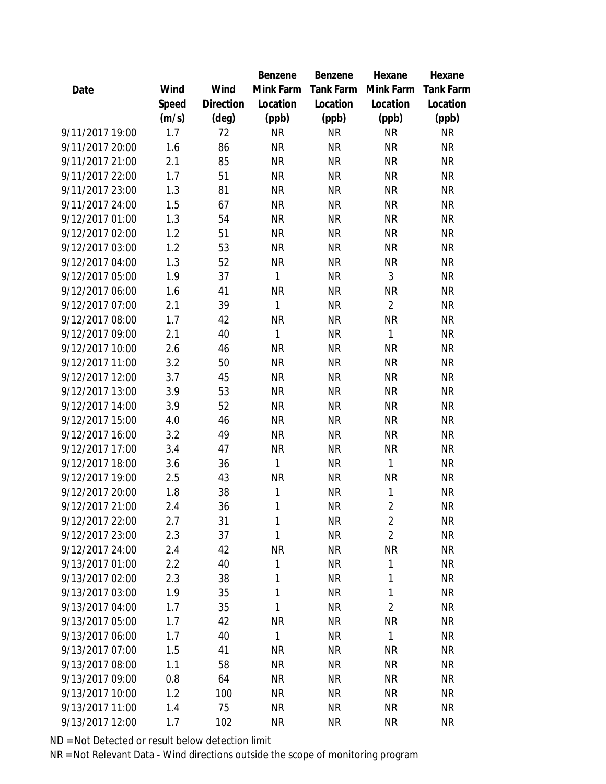|                 |       |           | Benzene   | Benzene   | Hexane         | Hexane    |
|-----------------|-------|-----------|-----------|-----------|----------------|-----------|
| Date            | Wind  | Wind      | Mink Farm | Tank Farm | Mink Farm      | Tank Farm |
|                 | Speed | Direction | Location  | Location  | Location       | Location  |
|                 | (m/s) | (deg)     | (ppb)     | (ppb)     | (ppb)          | (ppb)     |
| 9/11/2017 19:00 | 1.7   | 72        | <b>NR</b> | <b>NR</b> | <b>NR</b>      | <b>NR</b> |
| 9/11/2017 20:00 | 1.6   | 86        | <b>NR</b> | <b>NR</b> | <b>NR</b>      | <b>NR</b> |
| 9/11/2017 21:00 | 2.1   | 85        | <b>NR</b> | <b>NR</b> | <b>NR</b>      | <b>NR</b> |
| 9/11/2017 22:00 | 1.7   | 51        | <b>NR</b> | <b>NR</b> | <b>NR</b>      | <b>NR</b> |
| 9/11/2017 23:00 | 1.3   | 81        | <b>NR</b> | <b>NR</b> | <b>NR</b>      | <b>NR</b> |
| 9/11/2017 24:00 | 1.5   | 67        | <b>NR</b> | <b>NR</b> | <b>NR</b>      | <b>NR</b> |
| 9/12/2017 01:00 | 1.3   | 54        | <b>NR</b> | <b>NR</b> | <b>NR</b>      | <b>NR</b> |
| 9/12/2017 02:00 | 1.2   | 51        | <b>NR</b> | <b>NR</b> | <b>NR</b>      | <b>NR</b> |
| 9/12/2017 03:00 | 1.2   | 53        | <b>NR</b> | <b>NR</b> | <b>NR</b>      | <b>NR</b> |
| 9/12/2017 04:00 | 1.3   | 52        | <b>NR</b> | <b>NR</b> | <b>NR</b>      | <b>NR</b> |
| 9/12/2017 05:00 | 1.9   | 37        | 1         | <b>NR</b> | 3              | <b>NR</b> |
| 9/12/2017 06:00 | 1.6   | 41        | <b>NR</b> | <b>NR</b> | <b>NR</b>      | <b>NR</b> |
| 9/12/2017 07:00 | 2.1   | 39        | 1         | <b>NR</b> | $\overline{2}$ | <b>NR</b> |
| 9/12/2017 08:00 | 1.7   | 42        | <b>NR</b> | <b>NR</b> | <b>NR</b>      | <b>NR</b> |
| 9/12/2017 09:00 | 2.1   | 40        | 1         | <b>NR</b> | 1              | <b>NR</b> |
| 9/12/2017 10:00 | 2.6   | 46        | <b>NR</b> | <b>NR</b> | <b>NR</b>      | <b>NR</b> |
| 9/12/2017 11:00 | 3.2   | 50        | <b>NR</b> | <b>NR</b> | <b>NR</b>      | <b>NR</b> |
| 9/12/2017 12:00 | 3.7   | 45        | <b>NR</b> | <b>NR</b> | <b>NR</b>      | <b>NR</b> |
| 9/12/2017 13:00 | 3.9   | 53        | <b>NR</b> | <b>NR</b> | <b>NR</b>      | <b>NR</b> |
| 9/12/2017 14:00 | 3.9   | 52        | <b>NR</b> | <b>NR</b> | <b>NR</b>      | <b>NR</b> |
| 9/12/2017 15:00 | 4.0   | 46        | <b>NR</b> | <b>NR</b> | <b>NR</b>      | <b>NR</b> |
| 9/12/2017 16:00 | 3.2   | 49        | <b>NR</b> | <b>NR</b> | <b>NR</b>      | <b>NR</b> |
| 9/12/2017 17:00 | 3.4   | 47        | <b>NR</b> | <b>NR</b> | <b>NR</b>      | <b>NR</b> |
| 9/12/2017 18:00 | 3.6   | 36        | 1         | <b>NR</b> | 1              | <b>NR</b> |
| 9/12/2017 19:00 | 2.5   | 43        | <b>NR</b> | <b>NR</b> | <b>NR</b>      | <b>NR</b> |
| 9/12/2017 20:00 | 1.8   | 38        | 1         | <b>NR</b> | $\mathbf{1}$   | NR        |
| 9/12/2017 21:00 | 2.4   | 36        | 1         | <b>NR</b> | $\overline{2}$ | <b>NR</b> |
| 9/12/2017 22:00 | 2.7   | 31        | 1         | <b>NR</b> | $\overline{2}$ | <b>NR</b> |
| 9/12/2017 23:00 | 2.3   | 37        | 1         | <b>NR</b> | $\overline{2}$ | <b>NR</b> |
| 9/12/2017 24:00 | 2.4   | 42        | <b>NR</b> | <b>NR</b> | <b>NR</b>      | <b>NR</b> |
| 9/13/2017 01:00 | 2.2   | 40        | 1         | <b>NR</b> | 1              | <b>NR</b> |
| 9/13/2017 02:00 | 2.3   | 38        | 1         | <b>NR</b> | 1              | <b>NR</b> |
| 9/13/2017 03:00 | 1.9   | 35        | 1         | <b>NR</b> | 1              | <b>NR</b> |
| 9/13/2017 04:00 | 1.7   | 35        | 1         | <b>NR</b> | $\overline{2}$ | <b>NR</b> |
| 9/13/2017 05:00 | 1.7   | 42        | <b>NR</b> | <b>NR</b> | <b>NR</b>      | <b>NR</b> |
| 9/13/2017 06:00 | 1.7   | 40        | 1         | <b>NR</b> | 1              | <b>NR</b> |
| 9/13/2017 07:00 | 1.5   | 41        | <b>NR</b> | <b>NR</b> | <b>NR</b>      | <b>NR</b> |
| 9/13/2017 08:00 | 1.1   | 58        | <b>NR</b> | <b>NR</b> | <b>NR</b>      | <b>NR</b> |
| 9/13/2017 09:00 | 0.8   | 64        | <b>NR</b> | <b>NR</b> | <b>NR</b>      | <b>NR</b> |
| 9/13/2017 10:00 | 1.2   | 100       | NR.       | <b>NR</b> | <b>NR</b>      | <b>NR</b> |
| 9/13/2017 11:00 | 1.4   | 75        | <b>NR</b> | <b>NR</b> | <b>NR</b>      | <b>NR</b> |
| 9/13/2017 12:00 | 1.7   | 102       | <b>NR</b> | <b>NR</b> | <b>NR</b>      | <b>NR</b> |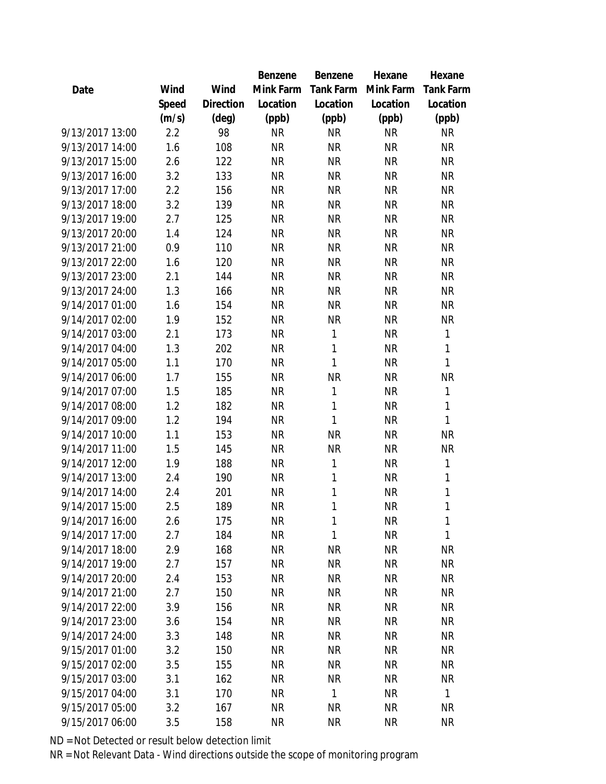|                 |       |                | Benzene   | Benzene      | Hexane    | Hexane           |
|-----------------|-------|----------------|-----------|--------------|-----------|------------------|
| Date            | Wind  | Wind           | Mink Farm | Tank Farm    | Mink Farm | <b>Tank Farm</b> |
|                 | Speed | Direction      | Location  | Location     | Location  | Location         |
|                 | (m/s) | $(\text{deg})$ | (ppb)     | (ppb)        | (ppb)     | (ppb)            |
| 9/13/2017 13:00 | 2.2   | 98             | <b>NR</b> | <b>NR</b>    | <b>NR</b> | <b>NR</b>        |
| 9/13/2017 14:00 | 1.6   | 108            | <b>NR</b> | <b>NR</b>    | <b>NR</b> | <b>NR</b>        |
| 9/13/2017 15:00 | 2.6   | 122            | <b>NR</b> | <b>NR</b>    | <b>NR</b> | <b>NR</b>        |
| 9/13/2017 16:00 | 3.2   | 133            | <b>NR</b> | <b>NR</b>    | <b>NR</b> | <b>NR</b>        |
| 9/13/2017 17:00 | 2.2   | 156            | <b>NR</b> | <b>NR</b>    | <b>NR</b> | <b>NR</b>        |
| 9/13/2017 18:00 | 3.2   | 139            | <b>NR</b> | <b>NR</b>    | <b>NR</b> | <b>NR</b>        |
| 9/13/2017 19:00 | 2.7   | 125            | <b>NR</b> | <b>NR</b>    | <b>NR</b> | <b>NR</b>        |
| 9/13/2017 20:00 | 1.4   | 124            | <b>NR</b> | <b>NR</b>    | <b>NR</b> | <b>NR</b>        |
| 9/13/2017 21:00 | 0.9   | 110            | <b>NR</b> | <b>NR</b>    | <b>NR</b> | <b>NR</b>        |
| 9/13/2017 22:00 | 1.6   | 120            | <b>NR</b> | <b>NR</b>    | <b>NR</b> | <b>NR</b>        |
| 9/13/2017 23:00 | 2.1   | 144            | <b>NR</b> | <b>NR</b>    | <b>NR</b> | <b>NR</b>        |
| 9/13/2017 24:00 | 1.3   | 166            | <b>NR</b> | <b>NR</b>    | <b>NR</b> | <b>NR</b>        |
| 9/14/2017 01:00 | 1.6   | 154            | <b>NR</b> | <b>NR</b>    | <b>NR</b> | <b>NR</b>        |
| 9/14/2017 02:00 | 1.9   | 152            | <b>NR</b> | <b>NR</b>    | <b>NR</b> | <b>NR</b>        |
| 9/14/2017 03:00 | 2.1   | 173            | <b>NR</b> | 1            | <b>NR</b> | 1                |
| 9/14/2017 04:00 | 1.3   | 202            | <b>NR</b> | 1            | <b>NR</b> | 1                |
| 9/14/2017 05:00 | 1.1   | 170            | <b>NR</b> | 1            | <b>NR</b> | 1                |
| 9/14/2017 06:00 | 1.7   | 155            | <b>NR</b> | <b>NR</b>    | <b>NR</b> | <b>NR</b>        |
| 9/14/2017 07:00 | 1.5   | 185            | <b>NR</b> | $\mathbf{1}$ | <b>NR</b> | 1                |
| 9/14/2017 08:00 | 1.2   | 182            | <b>NR</b> | 1            | <b>NR</b> | 1                |
| 9/14/2017 09:00 | 1.2   | 194            | <b>NR</b> | $\mathbf{1}$ | <b>NR</b> | 1                |
| 9/14/2017 10:00 | 1.1   | 153            | <b>NR</b> | <b>NR</b>    | <b>NR</b> | <b>NR</b>        |
| 9/14/2017 11:00 | 1.5   | 145            | <b>NR</b> | <b>NR</b>    | <b>NR</b> | <b>NR</b>        |
| 9/14/2017 12:00 | 1.9   | 188            | <b>NR</b> | 1            | <b>NR</b> | 1                |
| 9/14/2017 13:00 | 2.4   | 190            | <b>NR</b> | 1            | <b>NR</b> | 1                |
| 9/14/2017 14:00 | 2.4   | 201            | <b>NR</b> | $\mathbf{1}$ | <b>NR</b> | 1                |
| 9/14/2017 15:00 | 2.5   | 189            | <b>NR</b> | 1            | <b>NR</b> | 1                |
| 9/14/2017 16:00 | 2.6   | 175            | <b>NR</b> | 1            | <b>NR</b> | 1                |
| 9/14/2017 17:00 | 2.7   | 184            | <b>NR</b> | 1            | <b>NR</b> | 1                |
| 9/14/2017 18:00 | 2.9   | 168            | <b>NR</b> | <b>NR</b>    | <b>NR</b> | <b>NR</b>        |
| 9/14/2017 19:00 | 2.7   | 157            | <b>NR</b> | <b>NR</b>    | <b>NR</b> | <b>NR</b>        |
| 9/14/2017 20:00 | 2.4   | 153            | NR        | <b>NR</b>    | <b>NR</b> | <b>NR</b>        |
| 9/14/2017 21:00 | 2.7   | 150            | NR        | <b>NR</b>    | <b>NR</b> | <b>NR</b>        |
| 9/14/2017 22:00 | 3.9   | 156            | NR        | <b>NR</b>    | <b>NR</b> | <b>NR</b>        |
| 9/14/2017 23:00 | 3.6   | 154            | <b>NR</b> | <b>NR</b>    | <b>NR</b> | <b>NR</b>        |
| 9/14/2017 24:00 | 3.3   | 148            | <b>NR</b> | <b>NR</b>    | <b>NR</b> | <b>NR</b>        |
| 9/15/2017 01:00 | 3.2   | 150            | NR        | <b>NR</b>    | <b>NR</b> | <b>NR</b>        |
| 9/15/2017 02:00 | 3.5   | 155            | NR        | <b>NR</b>    | NR        | NR               |
| 9/15/2017 03:00 | 3.1   | 162            | NR        | <b>NR</b>    | <b>NR</b> | <b>NR</b>        |
| 9/15/2017 04:00 | 3.1   | 170            | NR        | 1            | <b>NR</b> | $\mathbf{1}$     |
| 9/15/2017 05:00 | 3.2   | 167            | <b>NR</b> | <b>NR</b>    | <b>NR</b> | <b>NR</b>        |
| 9/15/2017 06:00 | 3.5   | 158            | <b>NR</b> | <b>NR</b>    | <b>NR</b> | <b>NR</b>        |